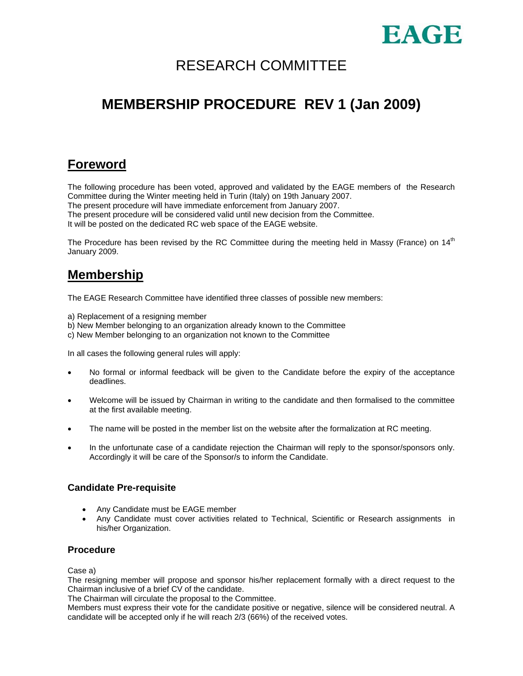

# RESEARCH COMMITTEE

# **MEMBERSHIP PROCEDURE REV 1 (Jan 2009)**

## **Foreword**

The following procedure has been voted, approved and validated by the EAGE members of the Research Committee during the Winter meeting held in Turin (Italy) on 19th January 2007.

The present procedure will have immediate enforcement from January 2007.

The present procedure will be considered valid until new decision from the Committee.

It will be posted on the dedicated RC web space of the EAGE website.

The Procedure has been revised by the RC Committee during the meeting held in Massy (France) on  $14<sup>th</sup>$ January 2009.

## **Membership**

The EAGE Research Committee have identified three classes of possible new members:

- a) Replacement of a resigning member
- b) New Member belonging to an organization already known to the Committee
- c) New Member belonging to an organization not known to the Committee

In all cases the following general rules will apply:

- No formal or informal feedback will be given to the Candidate before the expiry of the acceptance deadlines.
- Welcome will be issued by Chairman in writing to the candidate and then formalised to the committee at the first available meeting.
- The name will be posted in the member list on the website after the formalization at RC meeting.
- In the unfortunate case of a candidate rejection the Chairman will reply to the sponsor/sponsors only. Accordingly it will be care of the Sponsor/s to inform the Candidate.

### **Candidate Pre-requisite**

- Any Candidate must be EAGE member
- Any Candidate must cover activities related to Technical, Scientific or Research assignments in his/her Organization.

### **Procedure**

Case a)

The resigning member will propose and sponsor his/her replacement formally with a direct request to the Chairman inclusive of a brief CV of the candidate.

The Chairman will circulate the proposal to the Committee.

Members must express their vote for the candidate positive or negative, silence will be considered neutral. A candidate will be accepted only if he will reach 2/3 (66%) of the received votes.